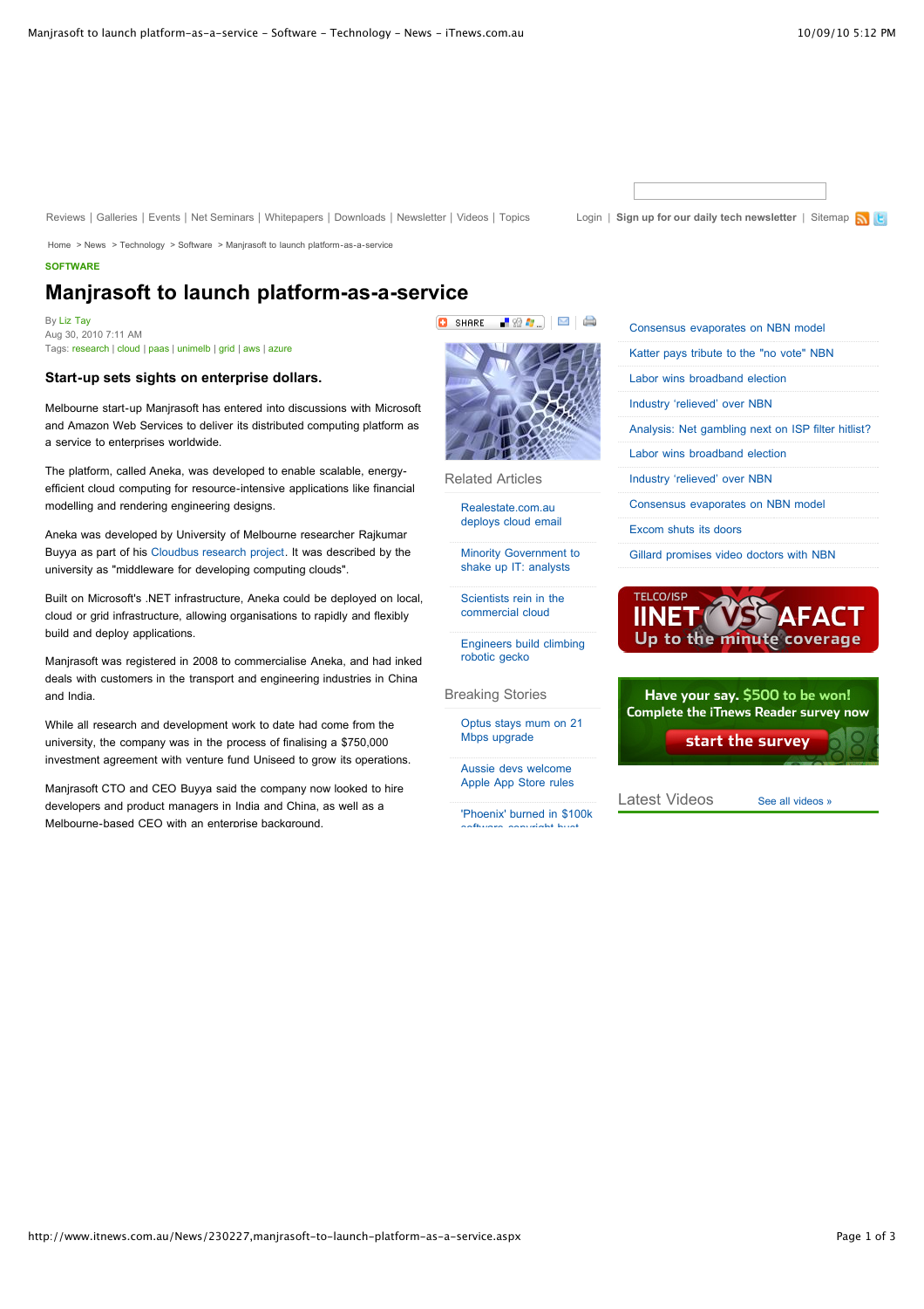[Reviews](http://www.itnews.com.au/Reviews/Default.aspx) | [Galleries](http://www.itnews.com.au/Galleries/Default.aspx) | [Events](http://www.itnews.com.au/Events/Default.aspx) | [Net Seminars](http://www.itnews.com.au/NetSeminars/Default.aspx) | [Whitepapers](http://whitepapers.itnews.com.au/) | [Downloads](http://www.itnews.com.au/Downloads/Default.aspx) | [Newsletter](http://www.itnews.com.au/Newsletter/Default.aspx) | [Videos](http://www.itnews.com.au/Video/Default.aspx) | [Topics](http://www.itnews.com.au/Topics/Default.aspx) [Login](http://www.itnews.com.au/Members/Login.aspx) | [Sign up for our daily tech newsletter](http://www.itnews.com.au/Members/Register.aspx?s=ITN_Top_Link) | [Sitemap](http://www.itnews.com.au/SiteMap.aspx) N | E

[Home](http://www.itnews.com.au/) > [News](http://www.itnews.com.au/News) > [Technology](http://www.itnews.com.au/News/Category/406,technology.aspx) > [Software](http://www.itnews.com.au/News/Category/36,software.aspx) > [Manjrasoft to launch platform-as-a-service](http://www.itnews.com.au/News/230227,manjrasoft-to-launch-platform-as-a-service.aspx)

## **[SOFTWARE](http://www.itnews.com.au/Category/36,software.aspx)**

# **Manjrasoft to launch platform-as-a-service**

By [Liz Tay](http://www.itnews.com.au/Author/139085,liz-tay.aspx) Aug 30, 2010 7:11 AM Tags: [research](http://www.itnews.com.au/Tag/research.aspx) | [cloud](http://www.itnews.com.au/Tag/cloud.aspx) | [paas](http://www.itnews.com.au/Tag/paas.aspx) | [unimelb](http://www.itnews.com.au/Tag/unimelb.aspx) | [grid](http://www.itnews.com.au/Tag/grid.aspx) | [aws](http://www.itnews.com.au/Tag/aws.aspx) | [azure](http://www.itnews.com.au/Tag/azure.aspx)

## **Start-up sets sights on enterprise dollars.**

Melbourne start-up Manjrasoft has entered into discussions with Microsoft and Amazon Web Services to deliver its distributed computing platform as a service to enterprises worldwide.

The platform, called Aneka, was developed to enable scalable, energyefficient cloud computing for resource-intensive applications like financial modelling and rendering engineering designs.

Aneka was developed by University of Melbourne researcher Rajkumar Buyya as part of his [Cloudbus research project](http://www.cloudbus.org/). It was described by the university as "middleware for developing computing clouds".

Built on Microsoft's .NET infrastructure, Aneka could be deployed on local, cloud or grid infrastructure, allowing organisations to rapidly and flexibly build and deploy applications.

Manjrasoft was registered in 2008 to commercialise Aneka, and had inked deals with customers in the transport and engineering industries in China and India.

While all research and development work to date had come from the university, the company was in the process of finalising a \$750,000 investment agreement with venture fund Uniseed to grow its operations.

Manjrasoft CTO and CEO Buyya said the company now looked to hire developers and product managers in India and China, as well as a Melbourne-based CEO with an enterprise background.



F## B

Related Articles

**Q** SHARE

Realestate.com.au [deploys cloud email](http://www.itnews.com.au/News/231557,realestatecomau-deploys-cloud-email.aspx)

[Minority Government to](http://www.itnews.com.au/News/231308,minority-government-to-shake-up-it-analysts.aspx) shake up IT: analysts

[Scientists rein in the](http://www.itnews.com.au/News/229403,scientists-rein-in-the-commercial-cloud.aspx) commercial cloud

[Engineers build climbing](http://www.itnews.com.au/News/230559,engineers-build-climbing-robotic-gecko.aspx) robotic gecko

Breaking Stories

[Optus stays mum on 21](http://www.itnews.com.au/News/231684,optus-stays-mum-on-21-mbps-upgrade.aspx) Mbps upgrade

Aussie devs welcome [Apple App Store rules](http://www.itnews.com.au/News/231661,aussie-devs-welcome-apple-app-store-rules.aspx)

['Phoenix' burned in \\$100k](http://www.itnews.com.au/News/231652,phoenix-burned-in-100k-software-copyright-bust.aspx) software copyright bust

|  | Consensus evaporates on NBN model                   |
|--|-----------------------------------------------------|
|  | Katter pays tribute to the "no vote" NBN            |
|  | Labor wins broadband election                       |
|  | Industry 'relieved' over NBN                        |
|  | Analysis: Net gambling next on ISP filter hit list? |
|  | Labor wins broadband election                       |
|  | Industry 'relieved' over NBN                        |
|  | Consensus evaporates on NBN model                   |
|  | Excom shuts its doors                               |
|  | Gillard promises video doctors with NBN             |
|  |                                                     |





Latest Videos [See all videos »](http://www.itnews.com.au/Video/Default.aspx)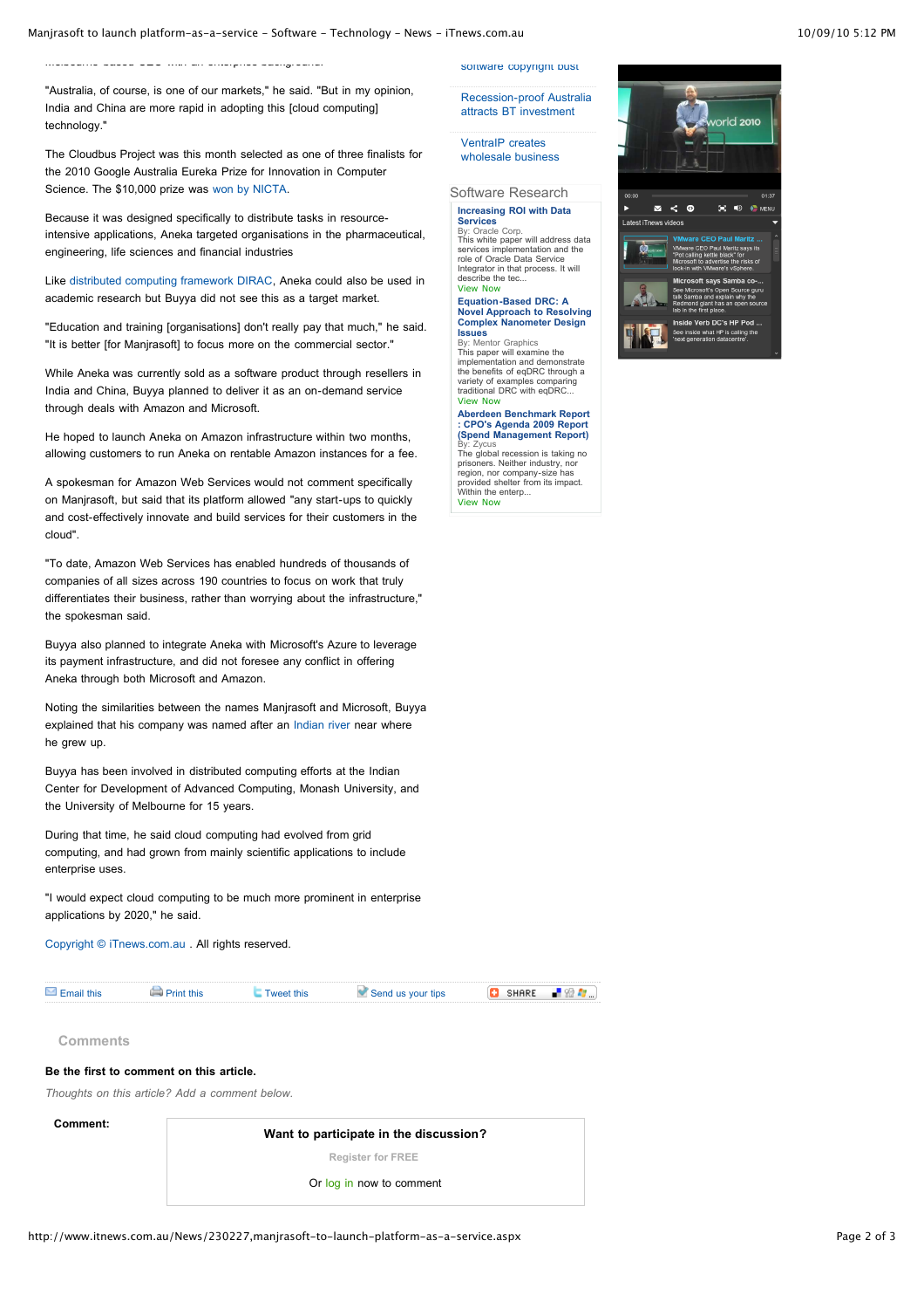Melbourne-based CEO with an enterprise background.

"Australia, of course, is one of our markets," he said. "But in my opinion, India and China are more rapid in adopting this [cloud computing] technology."

The Cloudbus Project was this month selected as one of three finalists for the 2010 Google Australia Eureka Prize for Innovation in Computer Science. The \$10,000 prize was [won by NICTA.](http://www.itnews.com.au/News/229676,nicta-develops-decision-making-software.aspx?utm_source=twitterfeed&utm_medium=twitter)

Because it was designed specifically to distribute tasks in resourceintensive applications, Aneka targeted organisations in the pharmaceutical, engineering, life sciences and financial industries

Like [distributed computing framework DIRAC,](http://www.itnews.com.au/News/229403,scientists-rein-in-the-commercial-cloud.aspx) Aneka could also be used in academic research but Buyya did not see this as a target market.

"Education and training [organisations] don't really pay that much," he said. "It is better [for Manjrasoft] to focus more on the commercial sector."

While Aneka was currently sold as a software product through resellers in India and China, Buyya planned to deliver it as an on-demand service through deals with Amazon and Microsoft.

He hoped to launch Aneka on Amazon infrastructure within two months, allowing customers to run Aneka on rentable Amazon instances for a fee.

A spokesman for Amazon Web Services would not comment specifically on Manjrasoft, but said that its platform allowed "any start-ups to quickly and cost-effectively innovate and build services for their customers in the cloud".

"To date, Amazon Web Services has enabled hundreds of thousands of companies of all sizes across 190 countries to focus on work that truly differentiates their business, rather than worrying about the infrastructure," the spokesman said.

Buyya also planned to integrate Aneka with Microsoft's Azure to leverage its payment infrastructure, and did not foresee any conflict in offering Aneka through both Microsoft and Amazon.

Noting the similarities between the names Manjrasoft and Microsoft, Buyya explained that his company was named after an [Indian river](http://en.wikipedia.org/wiki/Manjira_River) near where he grew up.

Buyya has been involved in distributed computing efforts at the Indian Center for Development of Advanced Computing, Monash University, and the University of Melbourne for 15 years.

During that time, he said cloud computing had evolved from grid computing, and had grown from mainly scientific applications to include enterprise uses.

"I would expect cloud computing to be much more prominent in enterprise applications by 2020," he said.

[Copyright © iTnews.com.au](http://www.itnews.com.au/) . All rights reserved.

| mail this | <b>this</b> | Send us your tips |  |
|-----------|-------------|-------------------|--|
|           |             |                   |  |

**Comments**

f

#### **Be the first to comment on this article.**

*Thoughts on this article? Add a comment below.*

**Comment:**

**Want to participate in the discussion? [Register for FREE](http://www.itnews.com.au/Members/Register.aspx?s=ITN_Comments)**

Or [log in](http://www.itnews.com.au/Members/Login.aspx) now to comment

[Recession-proof Australia](http://www.itnews.com.au/News/231625,recession-proof-australia-attracts-bt-investment.aspx)

attracts BT investment VentraIP creates

[software copyright bust](http://www.itnews.com.au/News/231652,phoenix-burned-in-100k-software-copyright-bust.aspx)

[wholesale business](http://www.itnews.com.au/News/231641,ventraip-creates-wholesale-business.aspx)

### Software Research **[Increasing ROI with Data](http://clk.madisonlogic.com/clk?pub=23&pgr=15&src=814&tgt=69&tstamp=20100910T071247&ast=6256&cmp=2420&crv=4817&pos=1&frm=240)**

**Services** [By: Oracle Corp.](http://clk.madisonlogic.com/clk?pub=23&pgr=15&src=814&tgt=69&tstamp=20100910T071247&ast=6256&cmp=2420&crv=4817&pos=1&frm=240) [This white paper will address data](http://clk.madisonlogic.com/clk?pub=23&pgr=15&src=814&tgt=69&tstamp=20100910T071247&ast=6256&cmp=2420&crv=4817&pos=1&frm=240) services implementation and the role of Oracle Data Service Integrator in that process. It will

describe the tec. [View Now](http://clk.madisonlogic.com/clk?pub=23&pgr=15&src=814&tgt=69&tstamp=20100910T071247&ast=6256&cmp=2420&crv=4817&pos=1&frm=240)  **Equation-Based DRC: A [Novel Approach to Resolving](http://clk.madisonlogic.com/clk?pub=23&pgr=15&src=814&tgt=69&tstamp=20100910T071247&ast=9961&cmp=2442&crv=8524&pos=2&frm=240) Complex Nanometer Design**

**Issues**<br>[By: Mentor Graphics](http://clk.madisonlogic.com/clk?pub=23&pgr=15&src=814&tgt=69&tstamp=20100910T071247&ast=9961&cmp=2442&crv=8524&pos=2&frm=240)<br>This paper will examine the<br>[implementation and demonstrate](http://clk.madisonlogic.com/clk?pub=23&pgr=15&src=814&tgt=69&tstamp=20100910T071247&ast=9961&cmp=2442&crv=8524&pos=2&frm=240)<br>the benefits of eqDRC through a

variety of examples comparing traditional DRC with eqDRC... [View Now](http://clk.madisonlogic.com/clk?pub=23&pgr=15&src=814&tgt=69&tstamp=20100910T071247&ast=9961&cmp=2442&crv=8524&pos=2&frm=240)  **[Aberdeen Benchmark Report](http://clk.madisonlogic.com/clk?pub=23&pgr=15&src=814&tgt=69&tstamp=20100910T071247&ast=9000&cmp=2102&crv=7565&pos=3&frm=240)**

**: CPO's Agenda 2009 Report (Spend Management Report)**

[By: Zycus](http://clk.madisonlogic.com/clk?pub=23&pgr=15&src=814&tgt=69&tstamp=20100910T071247&ast=9000&cmp=2102&crv=7565&pos=3&frm=240) [The global recession is taking no](http://clk.madisonlogic.com/clk?pub=23&pgr=15&src=814&tgt=69&tstamp=20100910T071247&ast=9000&cmp=2102&crv=7565&pos=3&frm=240) prisoners. Neither industry, nor region, nor company-size has provided shelter from its impact. Within the enterp... [View Now](http://clk.madisonlogic.com/clk?pub=23&pgr=15&src=814&tgt=69&tstamp=20100910T071247&ast=9000&cmp=2102&crv=7565&pos=3&frm=240)